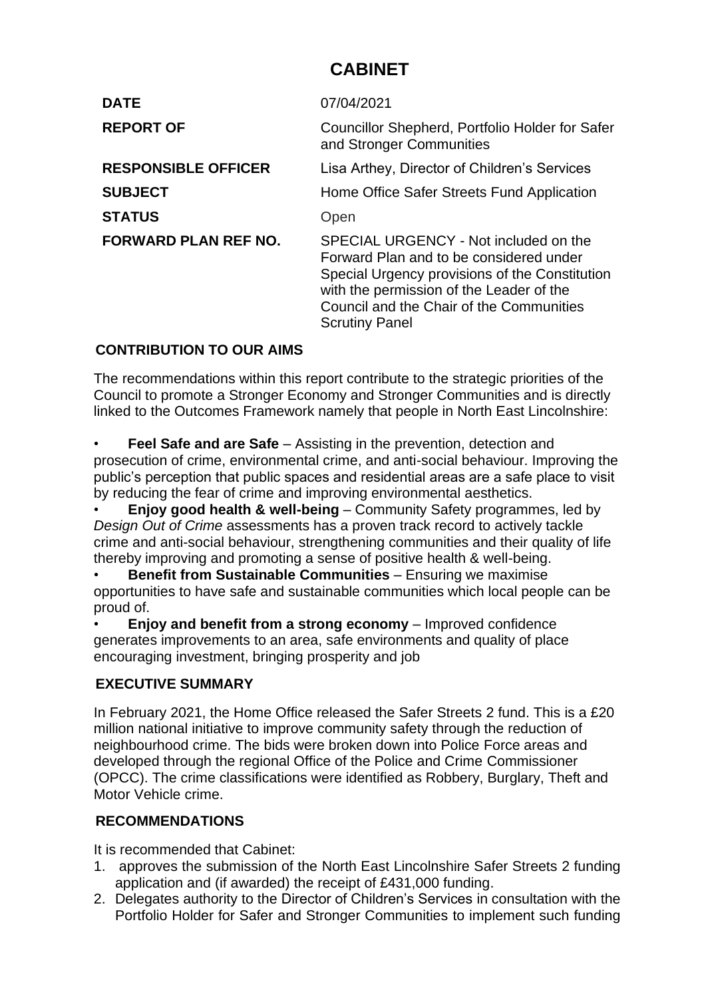# **CABINET**

| <b>DATE</b>                 | 07/04/2021                                                                                                                                                                                                                                          |
|-----------------------------|-----------------------------------------------------------------------------------------------------------------------------------------------------------------------------------------------------------------------------------------------------|
| <b>REPORT OF</b>            | Councillor Shepherd, Portfolio Holder for Safer<br>and Stronger Communities                                                                                                                                                                         |
| <b>RESPONSIBLE OFFICER</b>  | Lisa Arthey, Director of Children's Services                                                                                                                                                                                                        |
| <b>SUBJECT</b>              | Home Office Safer Streets Fund Application                                                                                                                                                                                                          |
| <b>STATUS</b>               | Open                                                                                                                                                                                                                                                |
| <b>FORWARD PLAN REF NO.</b> | SPECIAL URGENCY - Not included on the<br>Forward Plan and to be considered under<br>Special Urgency provisions of the Constitution<br>with the permission of the Leader of the<br>Council and the Chair of the Communities<br><b>Scrutiny Panel</b> |

# **CONTRIBUTION TO OUR AIMS**

The recommendations within this report contribute to the strategic priorities of the Council to promote a Stronger Economy and Stronger Communities and is directly linked to the Outcomes Framework namely that people in North East Lincolnshire:

**Feel Safe and are Safe** – Assisting in the prevention, detection and prosecution of crime, environmental crime, and anti-social behaviour. Improving the public's perception that public spaces and residential areas are a safe place to visit by reducing the fear of crime and improving environmental aesthetics.

• **Enjoy good health & well-being** – Community Safety programmes, led by *Design Out of Crime* assessments has a proven track record to actively tackle crime and anti-social behaviour, strengthening communities and their quality of life thereby improving and promoting a sense of positive health & well-being.

• **Benefit from Sustainable Communities** – Ensuring we maximise opportunities to have safe and sustainable communities which local people can be proud of.

• **Enjoy and benefit from a strong economy** – Improved confidence generates improvements to an area, safe environments and quality of place encouraging investment, bringing prosperity and job

## **EXECUTIVE SUMMARY**

In February 2021, the Home Office released the Safer Streets 2 fund. This is a £20 million national initiative to improve community safety through the reduction of neighbourhood crime. The bids were broken down into Police Force areas and developed through the regional Office of the Police and Crime Commissioner (OPCC). The crime classifications were identified as Robbery, Burglary, Theft and Motor Vehicle crime.

## **RECOMMENDATIONS**

It is recommended that Cabinet:

- 1. approves the submission of the North East Lincolnshire Safer Streets 2 funding application and (if awarded) the receipt of £431,000 funding.
- 2. Delegates authority to the Director of Children's Services in consultation with the Portfolio Holder for Safer and Stronger Communities to implement such funding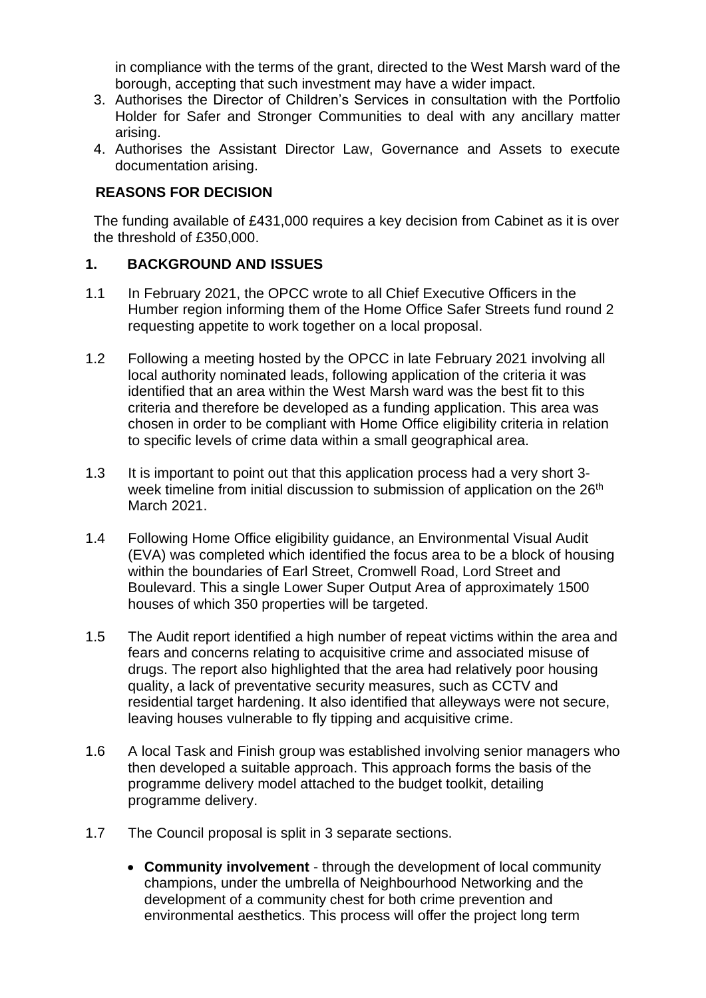in compliance with the terms of the grant, directed to the West Marsh ward of the borough, accepting that such investment may have a wider impact.

- 3. Authorises the Director of Children's Services in consultation with the Portfolio Holder for Safer and Stronger Communities to deal with any ancillary matter arising.
- 4. Authorises the Assistant Director Law, Governance and Assets to execute documentation arising.

#### **REASONS FOR DECISION**

The funding available of £431,000 requires a key decision from Cabinet as it is over the threshold of £350,000.

#### **1. BACKGROUND AND ISSUES**

- 1.1 In February 2021, the OPCC wrote to all Chief Executive Officers in the Humber region informing them of the Home Office Safer Streets fund round 2 requesting appetite to work together on a local proposal.
- 1.2 Following a meeting hosted by the OPCC in late February 2021 involving all local authority nominated leads, following application of the criteria it was identified that an area within the West Marsh ward was the best fit to this criteria and therefore be developed as a funding application. This area was chosen in order to be compliant with Home Office eligibility criteria in relation to specific levels of crime data within a small geographical area.
- 1.3 It is important to point out that this application process had a very short 3 week timeline from initial discussion to submission of application on the 26<sup>th</sup> March 2021.
- 1.4 Following Home Office eligibility guidance, an Environmental Visual Audit (EVA) was completed which identified the focus area to be a block of housing within the boundaries of Earl Street, Cromwell Road, Lord Street and Boulevard. This a single Lower Super Output Area of approximately 1500 houses of which 350 properties will be targeted.
- 1.5 The Audit report identified a high number of repeat victims within the area and fears and concerns relating to acquisitive crime and associated misuse of drugs. The report also highlighted that the area had relatively poor housing quality, a lack of preventative security measures, such as CCTV and residential target hardening. It also identified that alleyways were not secure, leaving houses vulnerable to fly tipping and acquisitive crime.
- 1.6 A local Task and Finish group was established involving senior managers who then developed a suitable approach. This approach forms the basis of the programme delivery model attached to the budget toolkit, detailing programme delivery.
- 1.7 The Council proposal is split in 3 separate sections.
	- **Community involvement** through the development of local community champions, under the umbrella of Neighbourhood Networking and the development of a community chest for both crime prevention and environmental aesthetics. This process will offer the project long term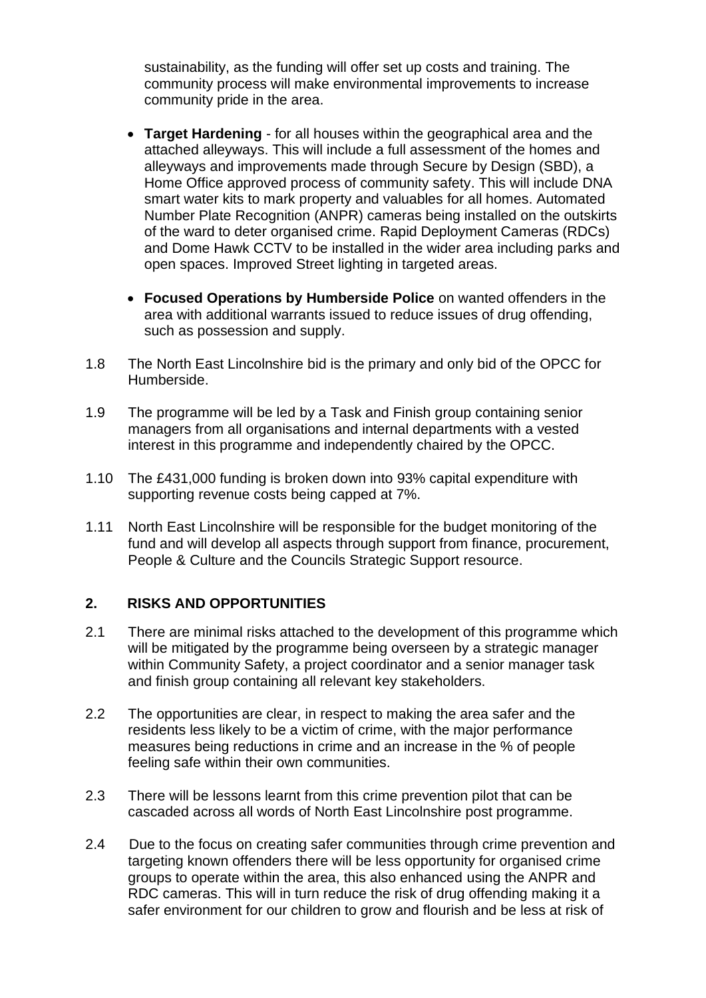sustainability, as the funding will offer set up costs and training. The community process will make environmental improvements to increase community pride in the area.

- **Target Hardening** for all houses within the geographical area and the attached alleyways. This will include a full assessment of the homes and alleyways and improvements made through Secure by Design (SBD), a Home Office approved process of community safety. This will include DNA smart water kits to mark property and valuables for all homes. Automated Number Plate Recognition (ANPR) cameras being installed on the outskirts of the ward to deter organised crime. Rapid Deployment Cameras (RDCs) and Dome Hawk CCTV to be installed in the wider area including parks and open spaces. Improved Street lighting in targeted areas.
- **Focused Operations by Humberside Police** on wanted offenders in the area with additional warrants issued to reduce issues of drug offending, such as possession and supply.
- 1.8 The North East Lincolnshire bid is the primary and only bid of the OPCC for Humberside.
- 1.9 The programme will be led by a Task and Finish group containing senior managers from all organisations and internal departments with a vested interest in this programme and independently chaired by the OPCC.
- 1.10 The £431,000 funding is broken down into 93% capital expenditure with supporting revenue costs being capped at 7%.
- 1.11 North East Lincolnshire will be responsible for the budget monitoring of the fund and will develop all aspects through support from finance, procurement, People & Culture and the Councils Strategic Support resource.

#### **2. RISKS AND OPPORTUNITIES**

- 2.1 There are minimal risks attached to the development of this programme which will be mitigated by the programme being overseen by a strategic manager within Community Safety, a project coordinator and a senior manager task and finish group containing all relevant key stakeholders.
- 2.2 The opportunities are clear, in respect to making the area safer and the residents less likely to be a victim of crime, with the major performance measures being reductions in crime and an increase in the % of people feeling safe within their own communities.
- 2.3 There will be lessons learnt from this crime prevention pilot that can be cascaded across all words of North East Lincolnshire post programme.
- 2.4 Due to the focus on creating safer communities through crime prevention and targeting known offenders there will be less opportunity for organised crime groups to operate within the area, this also enhanced using the ANPR and RDC cameras. This will in turn reduce the risk of drug offending making it a safer environment for our children to grow and flourish and be less at risk of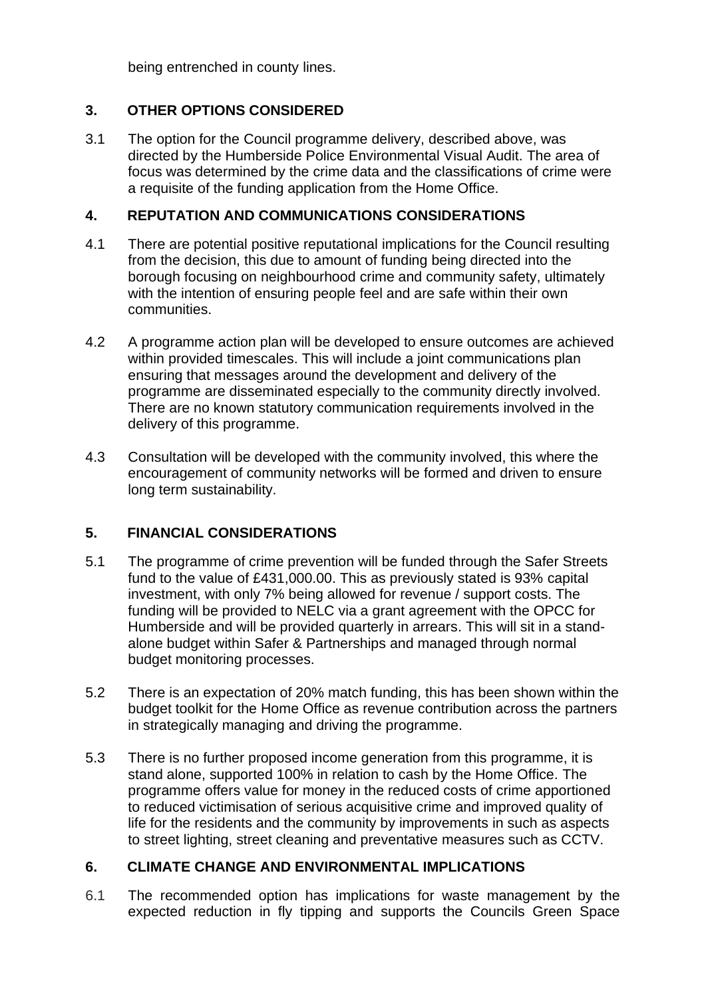being entrenched in county lines.

## **3. OTHER OPTIONS CONSIDERED**

3.1 The option for the Council programme delivery, described above, was directed by the Humberside Police Environmental Visual Audit. The area of focus was determined by the crime data and the classifications of crime were a requisite of the funding application from the Home Office.

#### **4. REPUTATION AND COMMUNICATIONS CONSIDERATIONS**

- 4.1 There are potential positive reputational implications for the Council resulting from the decision, this due to amount of funding being directed into the borough focusing on neighbourhood crime and community safety, ultimately with the intention of ensuring people feel and are safe within their own communities.
- 4.2 A programme action plan will be developed to ensure outcomes are achieved within provided timescales. This will include a joint communications plan ensuring that messages around the development and delivery of the programme are disseminated especially to the community directly involved. There are no known statutory communication requirements involved in the delivery of this programme.
- 4.3 Consultation will be developed with the community involved, this where the encouragement of community networks will be formed and driven to ensure long term sustainability.

## **5. FINANCIAL CONSIDERATIONS**

- 5.1 The programme of crime prevention will be funded through the Safer Streets fund to the value of £431,000.00. This as previously stated is 93% capital investment, with only 7% being allowed for revenue / support costs. The funding will be provided to NELC via a grant agreement with the OPCC for Humberside and will be provided quarterly in arrears. This will sit in a standalone budget within Safer & Partnerships and managed through normal budget monitoring processes.
- 5.2 There is an expectation of 20% match funding, this has been shown within the budget toolkit for the Home Office as revenue contribution across the partners in strategically managing and driving the programme.
- 5.3 There is no further proposed income generation from this programme, it is stand alone, supported 100% in relation to cash by the Home Office. The programme offers value for money in the reduced costs of crime apportioned to reduced victimisation of serious acquisitive crime and improved quality of life for the residents and the community by improvements in such as aspects to street lighting, street cleaning and preventative measures such as CCTV.

## **6. CLIMATE CHANGE AND ENVIRONMENTAL IMPLICATIONS**

6.1 The recommended option has implications for waste management by the expected reduction in fly tipping and supports the Councils Green Space